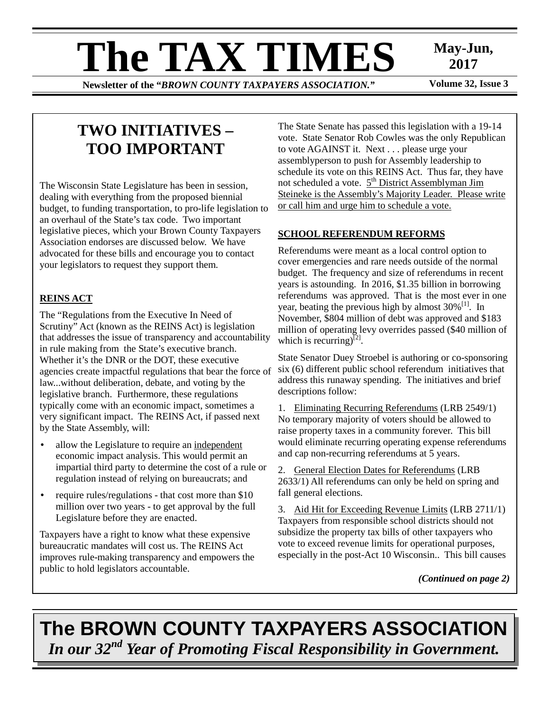# **The TAX TIMES** May-Jun,<br>Newsletter of the "RROWN COUNTY TAXPAYERS ASSOCIATION"

**Newsletter of the "BROWN COUNTY TAXPAYERS ASSOCIATION."** 

**2017** 

## **TWO INITIATIVES – TOO IMPORTANT**

The Wisconsin State Legislature has been in session, dealing with everything from the proposed biennial budget, to funding transportation, to pro-life legislation to an overhaul of the State's tax code. Two important legislative pieces, which your Brown County Taxpayers Association endorses are discussed below. We have advocated for these bills and encourage you to contact your legislators to request they support them.

## **REINS ACT**

The "Regulations from the Executive In Need of Scrutiny" Act (known as the REINS Act) is legislation that addresses the issue of transparency and accountability in rule making from the State's executive branch. Whether it's the DNR or the DOT, these executive agencies create impactful regulations that bear the force of law...without deliberation, debate, and voting by the legislative branch. Furthermore, these regulations typically come with an economic impact, sometimes a very significant impact. The REINS Act, if passed next by the State Assembly, will:

- allow the Legislature to require an independent economic impact analysis. This would permit an impartial third party to determine the cost of a rule or regulation instead of relying on bureaucrats; and
- require rules/regulations that cost more than \$10 million over two years - to get approval by the full Legislature before they are enacted.

Taxpayers have a right to know what these expensive bureaucratic mandates will cost us. The REINS Act improves rule-making transparency and empowers the public to hold legislators accountable.

The State Senate has passed this legislation with a 19-14 vote. State Senator Rob Cowles was the only Republican to vote AGAINST it. Next . . . please urge your assemblyperson to push for Assembly leadership to schedule its vote on this REINS Act. Thus far, they have not scheduled a vote.  $5<sup>th</sup>$  District Assemblyman Jim Steineke is the Assembly's Majority Leader. Please write or call him and urge him to schedule a vote.

### **SCHOOL REFERENDUM REFORMS**

Referendums were meant as a local control option to cover emergencies and rare needs outside of the normal budget. The frequency and size of referendums in recent years is astounding. In 2016, \$1.35 billion in borrowing referendums was approved. That is the most ever in one year, beating the previous high by almost  $30\%$ <sup>[1]</sup>. In November, \$804 million of debt was approved and \$183 million of operating levy overrides passed (\$40 million of which is recurring) $^{[2]}$ .

State Senator Duey Stroebel is authoring or co-sponsoring six (6) different public school referendum initiatives that address this runaway spending. The initiatives and brief descriptions follow:

1. Eliminating Recurring Referendums (LRB 2549/1) No temporary majority of voters should be allowed to raise property taxes in a community forever. This bill would eliminate recurring operating expense referendums and cap non-recurring referendums at 5 years.

2. General Election Dates for Referendums (LRB 2633/1) All referendums can only be held on spring and fall general elections.

3. Aid Hit for Exceeding Revenue Limits (LRB 2711/1) Taxpayers from responsible school districts should not subsidize the property tax bills of other taxpayers who vote to exceed revenue limits for operational purposes, especially in the post-Act 10 Wisconsin.. This bill causes

*(Continued on page 2)* 

# **The BROWN COUNTY TAXPAYERS ASSOCIATION**  *In our 32nd Year of Promoting Fiscal Responsibility in Government.*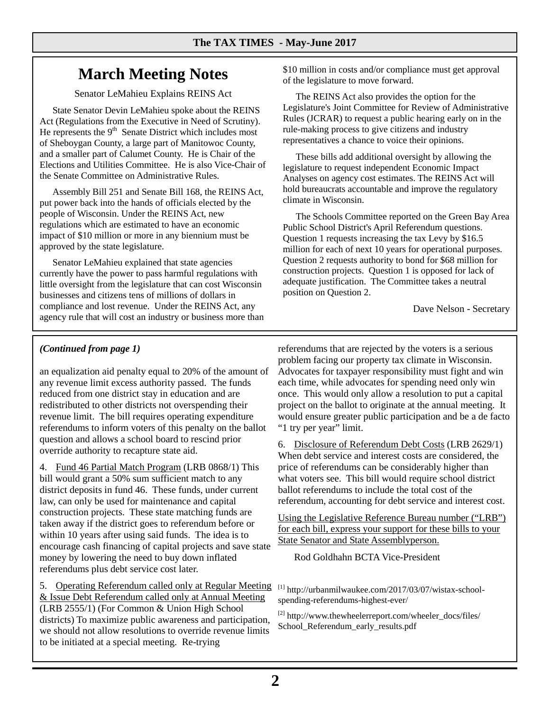## **March Meeting Notes**

Senator LeMahieu Explains REINS Act

State Senator Devin LeMahieu spoke about the REINS Act (Regulations from the Executive in Need of Scrutiny). He represents the  $9<sup>th</sup>$  Senate District which includes most of Sheboygan County, a large part of Manitowoc County, and a smaller part of Calumet County. He is Chair of the Elections and Utilities Committee. He is also Vice-Chair of the Senate Committee on Administrative Rules.

Assembly Bill 251 and Senate Bill 168, the REINS Act, put power back into the hands of officials elected by the people of Wisconsin. Under the REINS Act, new regulations which are estimated to have an economic impact of \$10 million or more in any biennium must be approved by the state legislature.

Senator LeMahieu explained that state agencies currently have the power to pass harmful regulations with little oversight from the legislature that can cost Wisconsin businesses and citizens tens of millions of dollars in compliance and lost revenue. Under the REINS Act, any agency rule that will cost an industry or business more than \$10 million in costs and/or compliance must get approval of the legislature to move forward.

The REINS Act also provides the option for the Legislature's Joint Committee for Review of Administrative Rules (JCRAR) to request a public hearing early on in the rule-making process to give citizens and industry representatives a chance to voice their opinions.

These bills add additional oversight by allowing the legislature to request independent Economic Impact Analyses on agency cost estimates. The REINS Act will hold bureaucrats accountable and improve the regulatory climate in Wisconsin.

The Schools Committee reported on the Green Bay Area Public School District's April Referendum questions. Question 1 requests increasing the tax Levy by \$16.5 million for each of next 10 years for operational purposes. Question 2 requests authority to bond for \$68 million for construction projects. Question 1 is opposed for lack of adequate justification. The Committee takes a neutral position on Question 2.

Dave Nelson - Secretary

## *(Continued from page 1)*

an equalization aid penalty equal to 20% of the amount of any revenue limit excess authority passed. The funds reduced from one district stay in education and are redistributed to other districts not overspending their revenue limit. The bill requires operating expenditure referendums to inform voters of this penalty on the ballot question and allows a school board to rescind prior override authority to recapture state aid.

4. Fund 46 Partial Match Program (LRB 0868/1) This bill would grant a 50% sum sufficient match to any district deposits in fund 46. These funds, under current law, can only be used for maintenance and capital construction projects. These state matching funds are taken away if the district goes to referendum before or within 10 years after using said funds. The idea is to encourage cash financing of capital projects and save state money by lowering the need to buy down inflated referendums plus debt service cost later.

5. Operating Referendum called only at Regular Meeting & Issue Debt Referendum called only at Annual Meeting (LRB 2555/1) (For Common & Union High School districts) To maximize public awareness and participation, we should not allow resolutions to override revenue limits to be initiated at a special meeting. Re-trying

referendums that are rejected by the voters is a serious problem facing our property tax climate in Wisconsin. Advocates for taxpayer responsibility must fight and win each time, while advocates for spending need only win once. This would only allow a resolution to put a capital project on the ballot to originate at the annual meeting. It would ensure greater public participation and be a de facto "1 try per year" limit.

6. Disclosure of Referendum Debt Costs (LRB 2629/1) When debt service and interest costs are considered, the price of referendums can be considerably higher than what voters see. This bill would require school district ballot referendums to include the total cost of the referendum, accounting for debt service and interest cost.

Using the Legislative Reference Bureau number ("LRB") for each bill, express your support for these bills to your State Senator and State Assemblyperson.

Rod Goldhahn BCTA Vice-President

 $^{[1]}$  http://urbanmilwaukee.com/2017/03/07/wistax-schoolspending-referendums-highest-ever/

[2] http://www.thewheelerreport.com/wheeler\_docs/files/ School\_Referendum\_early\_results.pdf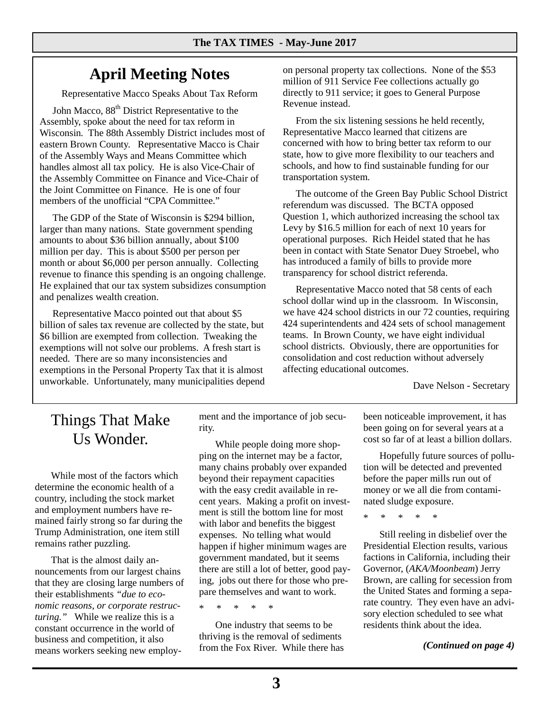## **April Meeting Notes**

Representative Macco Speaks About Tax Reform

John Macco, 88<sup>th</sup> District Representative to the Assembly, spoke about the need for tax reform in Wisconsin*.* The 88th Assembly District includes most of eastern Brown County. Representative Macco is Chair of the Assembly Ways and Means Committee which handles almost all tax policy. He is also Vice-Chair of the Assembly Committee on Finance and Vice-Chair of the Joint Committee on Finance. He is one of four members of the unofficial "CPA Committee."

The GDP of the State of Wisconsin is \$294 billion, larger than many nations. State government spending amounts to about \$36 billion annually, about \$100 million per day. This is about \$500 per person per month or about \$6,000 per person annually. Collecting revenue to finance this spending is an ongoing challenge. He explained that our tax system subsidizes consumption and penalizes wealth creation.

Representative Macco pointed out that about \$5 billion of sales tax revenue are collected by the state, but \$6 billion are exempted from collection. Tweaking the exemptions will not solve our problems. A fresh start is needed. There are so many inconsistencies and exemptions in the Personal Property Tax that it is almost unworkable. Unfortunately, many municipalities depend on personal property tax collections. None of the \$53 million of 911 Service Fee collections actually go directly to 911 service; it goes to General Purpose Revenue instead.

From the six listening sessions he held recently, Representative Macco learned that citizens are concerned with how to bring better tax reform to our state, how to give more flexibility to our teachers and schools, and how to find sustainable funding for our transportation system.

The outcome of the Green Bay Public School District referendum was discussed. The BCTA opposed Question 1, which authorized increasing the school tax Levy by \$16.5 million for each of next 10 years for operational purposes. Rich Heidel stated that he has been in contact with State Senator Duey Stroebel, who has introduced a family of bills to provide more transparency for school district referenda.

Representative Macco noted that 58 cents of each school dollar wind up in the classroom. In Wisconsin, we have 424 school districts in our 72 counties, requiring 424 superintendents and 424 sets of school management teams. In Brown County, we have eight individual school districts. Obviously, there are opportunities for consolidation and cost reduction without adversely affecting educational outcomes.

Dave Nelson - Secretary

## Things That Make Us Wonder.

 While most of the factors which determine the economic health of a country, including the stock market and employment numbers have remained fairly strong so far during the Trump Administration, one item still remains rather puzzling.

 That is the almost daily announcements from our largest chains that they are closing large numbers of their establishments *"due to economic reasons, or corporate restructuring."* While we realize this is a constant occurrence in the world of business and competition, it also means workers seeking new employment and the importance of job security.

 While people doing more shopping on the internet may be a factor, many chains probably over expanded beyond their repayment capacities with the easy credit available in recent years. Making a profit on investment is still the bottom line for most with labor and benefits the biggest expenses. No telling what would happen if higher minimum wages are government mandated, but it seems there are still a lot of better, good paying, jobs out there for those who prepare themselves and want to work.

\* \* \* \* \*

 One industry that seems to be thriving is the removal of sediments from the Fox River. While there has been noticeable improvement, it has been going on for several years at a cost so far of at least a billion dollars.

 Hopefully future sources of pollution will be detected and prevented before the paper mills run out of money or we all die from contaminated sludge exposure.

\* \* \* \* \*

 Still reeling in disbelief over the Presidential Election results, various factions in California, including their Governor, (*AKA/Moonbeam*) Jerry Brown, are calling for secession from the United States and forming a separate country. They even have an advisory election scheduled to see what residents think about the idea.

*(Continued on page 4)*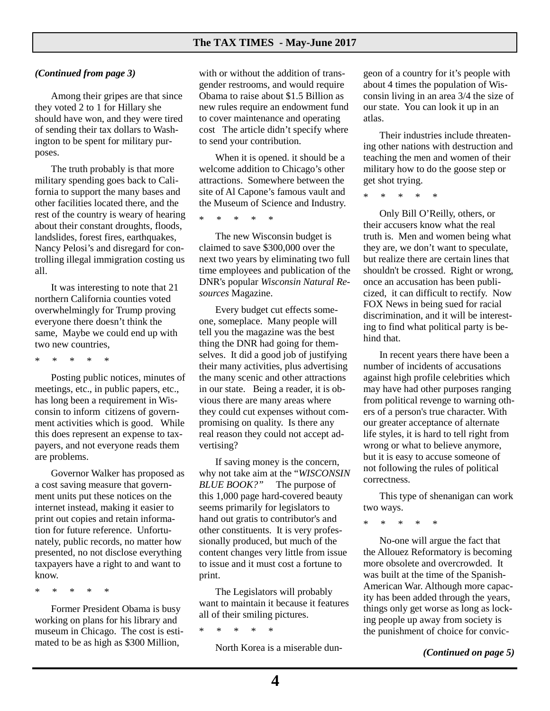#### *(Continued from page 3)*

 Among their gripes are that since they voted 2 to 1 for Hillary she should have won, and they were tired of sending their tax dollars to Washington to be spent for military purposes.

 The truth probably is that more military spending goes back to California to support the many bases and other facilities located there, and the rest of the country is weary of hearing about their constant droughts, floods, landslides, forest fires, earthquakes, Nancy Pelosi's and disregard for controlling illegal immigration costing us all.

 It was interesting to note that 21 northern California counties voted overwhelmingly for Trump proving everyone there doesn't think the same, Maybe we could end up with two new countries,

\* \* \* \* \*

 Posting public notices, minutes of meetings, etc., in public papers, etc., has long been a requirement in Wisconsin to inform citizens of government activities which is good. While this does represent an expense to taxpayers, and not everyone reads them are problems.

 Governor Walker has proposed as a cost saving measure that government units put these notices on the internet instead, making it easier to print out copies and retain information for future reference. Unfortunately, public records, no matter how presented, no not disclose everything taxpayers have a right to and want to know.

\* \* \* \* \*

 Former President Obama is busy working on plans for his library and museum in Chicago. The cost is estimated to be as high as \$300 Million,

with or without the addition of transgender restrooms, and would require Obama to raise about \$1.5 Billion as new rules require an endowment fund to cover maintenance and operating cost The article didn't specify where to send your contribution.

 When it is opened. it should be a welcome addition to Chicago's other attractions. Somewhere between the site of Al Capone's famous vault and the Museum of Science and Industry.

\* \* \* \* \*

 The new Wisconsin budget is claimed to save \$300,000 over the next two years by eliminating two full time employees and publication of the DNR's popular *Wisconsin Natural Resources* Magazine.

 Every budget cut effects someone, someplace. Many people will tell you the magazine was the best thing the DNR had going for themselves. It did a good job of justifying their many activities, plus advertising the many scenic and other attractions in our state. Being a reader, it is obvious there are many areas where they could cut expenses without compromising on quality. Is there any real reason they could not accept advertising?

 If saving money is the concern, why not take aim at the "*WISCONSIN BLUE BOOK?"* The purpose of this 1,000 page hard-covered beauty seems primarily for legislators to hand out gratis to contributor's and other constituents. It is very professionally produced, but much of the content changes very little from issue to issue and it must cost a fortune to print.

 The Legislators will probably want to maintain it because it features all of their smiling pictures.

\* \* \* \* \*

North Korea is a miserable dun-

geon of a country for it's people with about 4 times the population of Wisconsin living in an area 3/4 the size of our state. You can look it up in an atlas.

 Their industries include threatening other nations with destruction and teaching the men and women of their military how to do the goose step or get shot trying.

\* \* \* \* \*

 Only Bill O'Reilly, others, or their accusers know what the real truth is. Men and women being what they are, we don't want to speculate, but realize there are certain lines that shouldn't be crossed. Right or wrong, once an accusation has been publicized, it can difficult to rectify. Now FOX News in being sued for racial discrimination, and it will be interesting to find what political party is behind that.

 In recent years there have been a number of incidents of accusations against high profile celebrities which may have had other purposes ranging from political revenge to warning others of a person's true character. With our greater acceptance of alternate life styles, it is hard to tell right from wrong or what to believe anymore, but it is easy to accuse someone of not following the rules of political correctness.

 This type of shenanigan can work two ways.

\* \* \* \* \*

 No-one will argue the fact that the Allouez Reformatory is becoming more obsolete and overcrowded. It was built at the time of the Spanish-American War. Although more capacity has been added through the years, things only get worse as long as locking people up away from society is the punishment of choice for convic-

*(Continued on page 5)*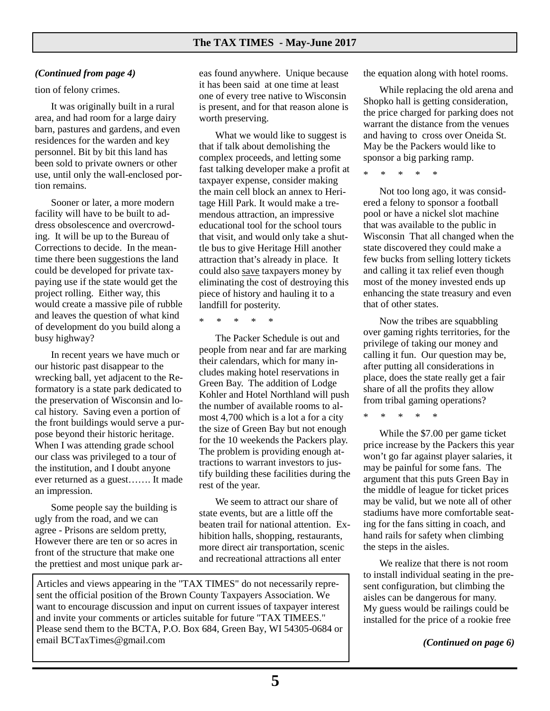#### *(Continued from page 4)*

tion of felony crimes.

 It was originally built in a rural area, and had room for a large dairy barn, pastures and gardens, and even residences for the warden and key personnel. Bit by bit this land has been sold to private owners or other use, until only the wall-enclosed portion remains.

 Sooner or later, a more modern facility will have to be built to address obsolescence and overcrowding. It will be up to the Bureau of Corrections to decide. In the meantime there been suggestions the land could be developed for private taxpaying use if the state would get the project rolling. Either way, this would create a massive pile of rubble and leaves the question of what kind of development do you build along a busy highway?

 In recent years we have much or our historic past disappear to the wrecking ball, yet adjacent to the Reformatory is a state park dedicated to the preservation of Wisconsin and local history. Saving even a portion of the front buildings would serve a purpose beyond their historic heritage. When I was attending grade school our class was privileged to a tour of the institution, and I doubt anyone ever returned as a guest……. It made an impression.

 Some people say the building is ugly from the road, and we can agree - Prisons are seldom pretty, However there are ten or so acres in front of the structure that make one the prettiest and most unique park ar-

eas found anywhere. Unique because it has been said at one time at least one of every tree native to Wisconsin is present, and for that reason alone is worth preserving.

 What we would like to suggest is that if talk about demolishing the complex proceeds, and letting some fast talking developer make a profit at taxpayer expense, consider making the main cell block an annex to Heritage Hill Park. It would make a tremendous attraction, an impressive educational tool for the school tours that visit, and would only take a shuttle bus to give Heritage Hill another attraction that's already in place. It could also save taxpayers money by eliminating the cost of destroying this piece of history and hauling it to a landfill for posterity.

\* \* \* \* \*

 The Packer Schedule is out and people from near and far are marking their calendars, which for many includes making hotel reservations in Green Bay. The addition of Lodge Kohler and Hotel Northland will push the number of available rooms to almost 4,700 which is a lot a for a city the size of Green Bay but not enough for the 10 weekends the Packers play. The problem is providing enough attractions to warrant investors to justify building these facilities during the rest of the year.

 We seem to attract our share of state events, but are a little off the beaten trail for national attention. Exhibition halls, shopping, restaurants, more direct air transportation, scenic and recreational attractions all enter

Articles and views appearing in the "TAX TIMES" do not necessarily represent the official position of the Brown County Taxpayers Association. We want to encourage discussion and input on current issues of taxpayer interest and invite your comments or articles suitable for future "TAX TIMEES." Please send them to the BCTA, P.O. Box 684, Green Bay, WI 54305-0684 or email BCTaxTimes@gmail.com

the equation along with hotel rooms.

 While replacing the old arena and Shopko hall is getting consideration, the price charged for parking does not warrant the distance from the venues and having to cross over Oneida St. May be the Packers would like to sponsor a big parking ramp.

\* \* \* \* \*

 Not too long ago, it was considered a felony to sponsor a football pool or have a nickel slot machine that was available to the public in Wisconsin That all changed when the state discovered they could make a few bucks from selling lottery tickets and calling it tax relief even though most of the money invested ends up enhancing the state treasury and even that of other states.

 Now the tribes are squabbling over gaming rights territories, for the privilege of taking our money and calling it fun. Our question may be, after putting all considerations in place, does the state really get a fair share of all the profits they allow from tribal gaming operations?

\* \* \* \* \*

 While the \$7.00 per game ticket price increase by the Packers this year won't go far against player salaries, it may be painful for some fans. The argument that this puts Green Bay in the middle of league for ticket prices may be valid, but we note all of other stadiums have more comfortable seating for the fans sitting in coach, and hand rails for safety when climbing the steps in the aisles.

 We realize that there is not room to install individual seating in the present configuration, but climbing the aisles can be dangerous for many. My guess would be railings could be installed for the price of a rookie free

*(Continued on page 6)*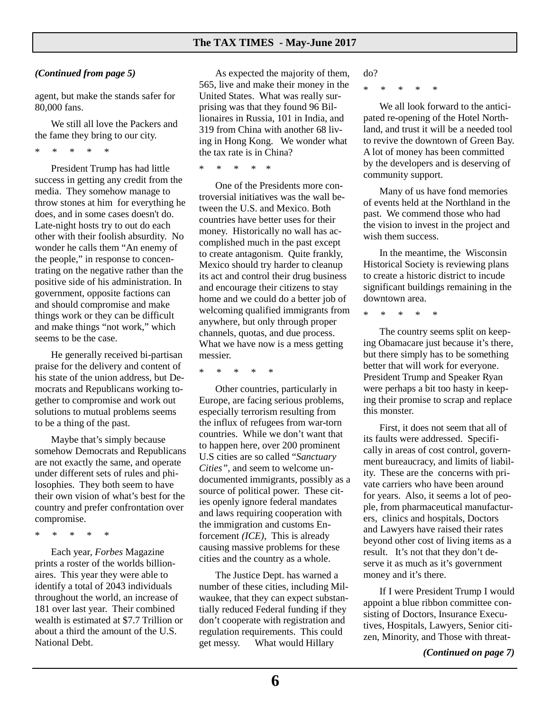#### *(Continued from page 5)*

agent, but make the stands safer for 80,000 fans.

 We still all love the Packers and the fame they bring to our city.

\* \* \* \* \*

 President Trump has had little success in getting any credit from the media. They somehow manage to throw stones at him for everything he does, and in some cases doesn't do. Late-night hosts try to out do each other with their foolish absurdity. No wonder he calls them "An enemy of the people," in response to concentrating on the negative rather than the positive side of his administration. In government, opposite factions can and should compromise and make things work or they can be difficult and make things "not work," which seems to be the case.

 He generally received bi-partisan praise for the delivery and content of his state of the union address, but Democrats and Republicans working together to compromise and work out solutions to mutual problems seems to be a thing of the past.

 Maybe that's simply because somehow Democrats and Republicans are not exactly the same, and operate under different sets of rules and philosophies. They both seem to have their own vision of what's best for the country and prefer confrontation over compromise.

\* \* \* \* \*

 Each year, *Forbes* Magazine prints a roster of the worlds billionaires. This year they were able to identify a total of 2043 individuals throughout the world, an increase of 181 over last year. Their combined wealth is estimated at \$7.7 Trillion or about a third the amount of the U.S. National Debt.

 As expected the majority of them, 565, live and make their money in the United States. What was really surprising was that they found 96 Billionaires in Russia, 101 in India, and 319 from China with another 68 living in Hong Kong. We wonder what the tax rate is in China?

\* \* \* \* \*

 One of the Presidents more controversial initiatives was the wall between the U.S. and Mexico. Both countries have better uses for their money. Historically no wall has accomplished much in the past except to create antagonism. Quite frankly, Mexico should try harder to cleanup its act and control their drug business and encourage their citizens to stay home and we could do a better job of welcoming qualified immigrants from anywhere, but only through proper channels, quotas, and due process. What we have now is a mess getting messier.

\* \* \* \* \*

 Other countries, particularly in Europe, are facing serious problems, especially terrorism resulting from the influx of refugees from war-torn countries. While we don't want that to happen here, over 200 prominent U.S cities are so called "*Sanctuary Cities",* and seem to welcome undocumented immigrants, possibly as a source of political power. These cities openly ignore federal mandates and laws requiring cooperation with the immigration and customs Enforcement *(ICE)*, This is already causing massive problems for these cities and the country as a whole.

 The Justice Dept. has warned a number of these cities, including Milwaukee, that they can expect substantially reduced Federal funding if they don't cooperate with registration and regulation requirements. This could get messy. What would Hillary

do?

\* \* \* \* \*

 We all look forward to the anticipated re-opening of the Hotel Northland, and trust it will be a needed tool to revive the downtown of Green Bay. A lot of money has been committed by the developers and is deserving of community support.

 Many of us have fond memories of events held at the Northland in the past. We commend those who had the vision to invest in the project and wish them success.

 In the meantime, the Wisconsin Historical Society is reviewing plans to create a historic district to incude significant buildings remaining in the downtown area.

\* \* \* \* \*

 The country seems split on keeping Obamacare just because it's there, but there simply has to be something better that will work for everyone. President Trump and Speaker Ryan were perhaps a bit too hasty in keeping their promise to scrap and replace this monster.

 First, it does not seem that all of its faults were addressed. Specifically in areas of cost control, government bureaucracy, and limits of liability. These are the concerns with private carriers who have been around for years. Also, it seems a lot of people, from pharmaceutical manufacturers, clinics and hospitals, Doctors and Lawyers have raised their rates beyond other cost of living items as a result. It's not that they don't deserve it as much as it's government money and it's there.

 If I were President Trump I would appoint a blue ribbon committee consisting of Doctors, Insurance Executives, Hospitals, Lawyers, Senior citizen, Minority, and Those with threat-

*(Continued on page 7)*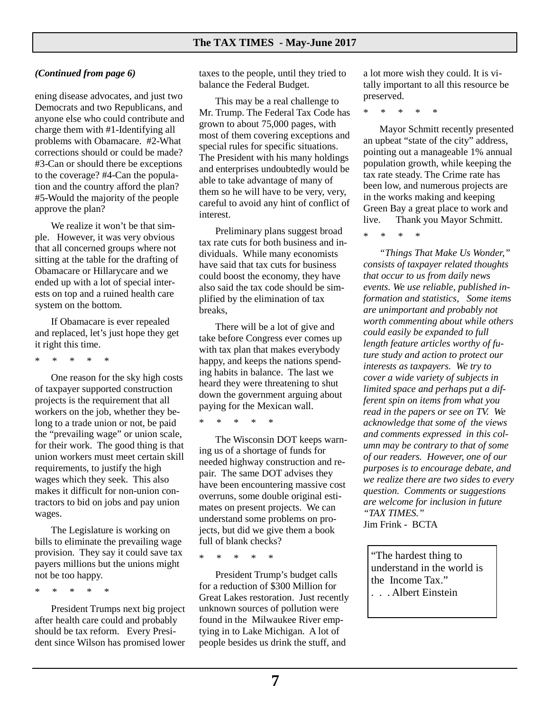#### *(Continued from page 6)*

ening disease advocates, and just two Democrats and two Republicans, and anyone else who could contribute and charge them with #1-Identifying all problems with Obamacare. #2-What corrections should or could be made? #3-Can or should there be exceptions to the coverage? #4-Can the population and the country afford the plan? #5-Would the majority of the people approve the plan?

 We realize it won't be that simple. However, it was very obvious that all concerned groups where not sitting at the table for the drafting of Obamacare or Hillarycare and we ended up with a lot of special interests on top and a ruined health care system on the bottom.

 If Obamacare is ever repealed and replaced, let's just hope they get it right this time.

\* \* \* \* \*

 One reason for the sky high costs of taxpayer supported construction projects is the requirement that all workers on the job, whether they belong to a trade union or not, be paid the "prevailing wage" or union scale, for their work. The good thing is that union workers must meet certain skill requirements, to justify the high wages which they seek. This also makes it difficult for non-union contractors to bid on jobs and pay union wages.

 The Legislature is working on bills to eliminate the prevailing wage provision. They say it could save tax payers millions but the unions might not be too happy.

\* \* \* \* \*

 President Trumps next big project after health care could and probably should be tax reform. Every President since Wilson has promised lower taxes to the people, until they tried to balance the Federal Budget.

 This may be a real challenge to Mr. Trump. The Federal Tax Code has grown to about 75,000 pages, with most of them covering exceptions and special rules for specific situations. The President with his many holdings and enterprises undoubtedly would be able to take advantage of many of them so he will have to be very, very, careful to avoid any hint of conflict of interest.

 Preliminary plans suggest broad tax rate cuts for both business and individuals. While many economists have said that tax cuts for business could boost the economy, they have also said the tax code should be simplified by the elimination of tax breaks,

 There will be a lot of give and take before Congress ever comes up with tax plan that makes everybody happy, and keeps the nations spending habits in balance. The last we heard they were threatening to shut down the government arguing about paying for the Mexican wall.

\* \* \* \* \*

 The Wisconsin DOT keeps warning us of a shortage of funds for needed highway construction and repair. The same DOT advises they have been encountering massive cost overruns, some double original estimates on present projects. We can understand some problems on projects, but did we give them a book full of blank checks?

\* \* \* \* \*

 President Trump's budget calls for a reduction of \$300 Million for Great Lakes restoration. Just recently unknown sources of pollution were found in the Milwaukee River emptying in to Lake Michigan. A lot of people besides us drink the stuff, and

a lot more wish they could. It is vitally important to all this resource be preserved.

\* \* \* \* \*

 Mayor Schmitt recently presented an upbeat "state of the city" address, pointing out a manageable 1% annual population growth, while keeping the tax rate steady. The Crime rate has been low, and numerous projects are in the works making and keeping Green Bay a great place to work and live. Thank you Mayor Schmitt.

\* \* \* \*

 *"Things That Make Us Wonder," consists of taxpayer related thoughts that occur to us from daily news events. We use reliable, published information and statistics, Some items are unimportant and probably not worth commenting about while others could easily be expanded to full length feature articles worthy of future study and action to protect our interests as taxpayers. We try to cover a wide variety of subjects in limited space and perhaps put a different spin on items from what you read in the papers or see on TV. We acknowledge that some of the views and comments expressed in this column may be contrary to that of some of our readers. However, one of our purposes is to encourage debate, and we realize there are two sides to every question. Comments or suggestions are welcome for inclusion in future "TAX TIMES."*  Jim Frink - BCTA

"The hardest thing to understand in the world is the Income Tax." . . . Albert Einstein